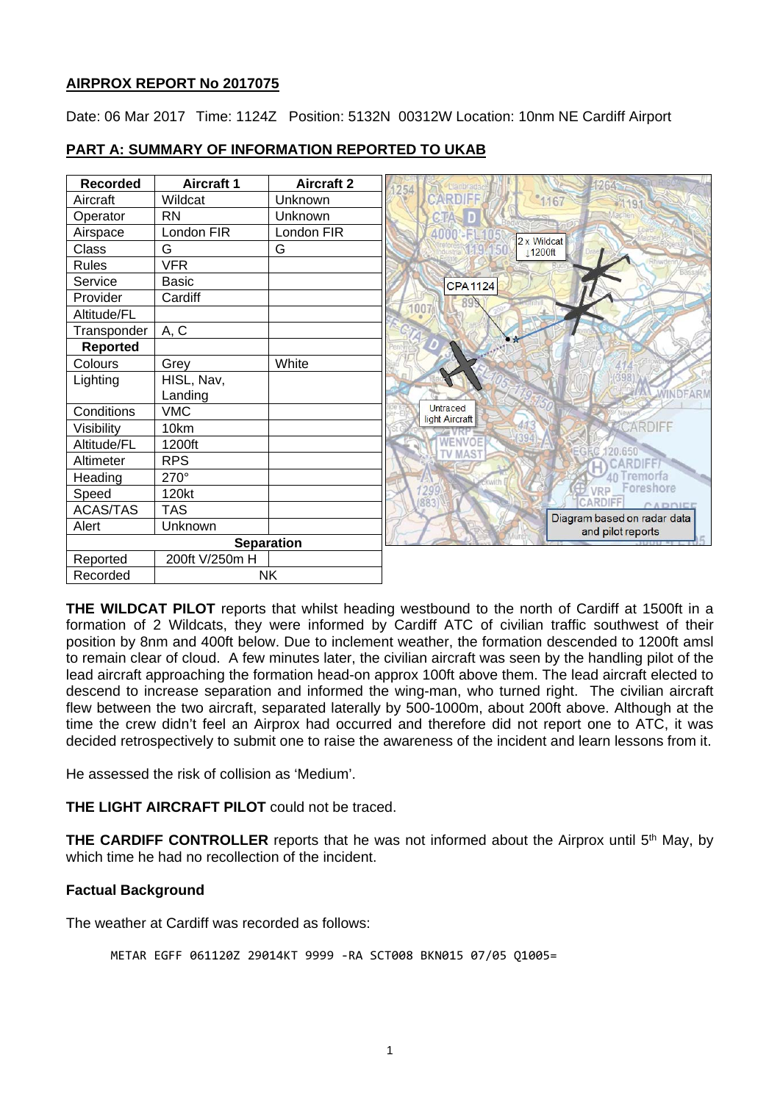# **AIRPROX REPORT No 2017075**

Date: 06 Mar 2017 Time: 1124Z Position: 5132N 00312W Location: 10nm NE Cardiff Airport



# **PART A: SUMMARY OF INFORMATION REPORTED TO UKAB**

**THE WILDCAT PILOT** reports that whilst heading westbound to the north of Cardiff at 1500ft in a formation of 2 Wildcats, they were informed by Cardiff ATC of civilian traffic southwest of their position by 8nm and 400ft below. Due to inclement weather, the formation descended to 1200ft amsl to remain clear of cloud. A few minutes later, the civilian aircraft was seen by the handling pilot of the lead aircraft approaching the formation head-on approx 100ft above them. The lead aircraft elected to descend to increase separation and informed the wing-man, who turned right. The civilian aircraft flew between the two aircraft, separated laterally by 500-1000m, about 200ft above. Although at the time the crew didn't feel an Airprox had occurred and therefore did not report one to ATC, it was decided retrospectively to submit one to raise the awareness of the incident and learn lessons from it.

He assessed the risk of collision as 'Medium'.

**THE LIGHT AIRCRAFT PILOT** could not be traced.

**THE CARDIFF CONTROLLER** reports that he was not informed about the Airprox until 5<sup>th</sup> May, by which time he had no recollection of the incident.

# **Factual Background**

The weather at Cardiff was recorded as follows:

METAR EGFF 061120Z 29014KT 9999 -RA SCT008 BKN015 07/05 Q1005=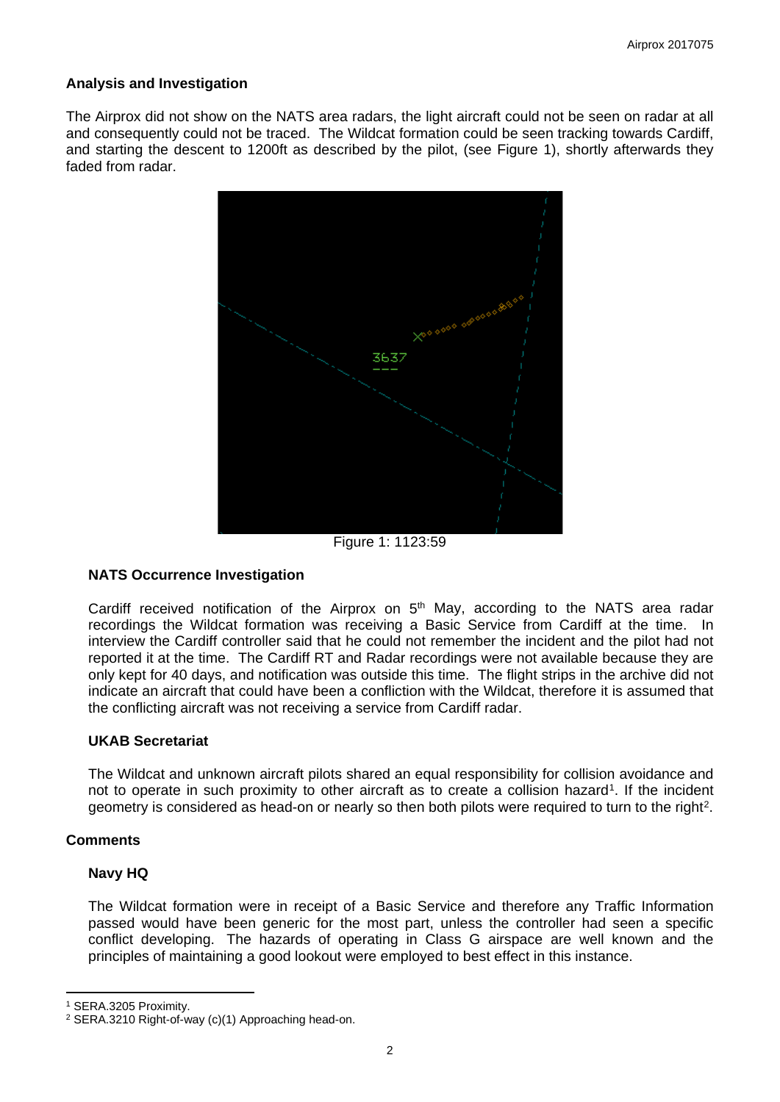## **Analysis and Investigation**

The Airprox did not show on the NATS area radars, the light aircraft could not be seen on radar at all and consequently could not be traced. The Wildcat formation could be seen tracking towards Cardiff, and starting the descent to 1200ft as described by the pilot, (see Figure 1), shortly afterwards they faded from radar.



Figure 1: 1123:59

# **NATS Occurrence Investigation**

Cardiff received notification of the Airprox on  $5<sup>th</sup>$  May, according to the NATS area radar recordings the Wildcat formation was receiving a Basic Service from Cardiff at the time. In interview the Cardiff controller said that he could not remember the incident and the pilot had not reported it at the time. The Cardiff RT and Radar recordings were not available because they are only kept for 40 days, and notification was outside this time. The flight strips in the archive did not indicate an aircraft that could have been a confliction with the Wildcat, therefore it is assumed that the conflicting aircraft was not receiving a service from Cardiff radar.

## **UKAB Secretariat**

The Wildcat and unknown aircraft pilots shared an equal responsibility for collision avoidance and not to operate in such proximity to other aircraft as to create a collision hazard<sup>[1](#page-1-0)</sup>. If the incident geometry is considered as head-on or nearly so then both pilots were required to turn to the right<sup>[2](#page-1-1)</sup>.

# **Comments**

### **Navy HQ**

The Wildcat formation were in receipt of a Basic Service and therefore any Traffic Information passed would have been generic for the most part, unless the controller had seen a specific conflict developing. The hazards of operating in Class G airspace are well known and the principles of maintaining a good lookout were employed to best effect in this instance.

 $\overline{a}$ 

<span id="page-1-0"></span><sup>1</sup> SERA.3205 Proximity.

<span id="page-1-1"></span><sup>2</sup> SERA.3210 Right-of-way (c)(1) Approaching head-on.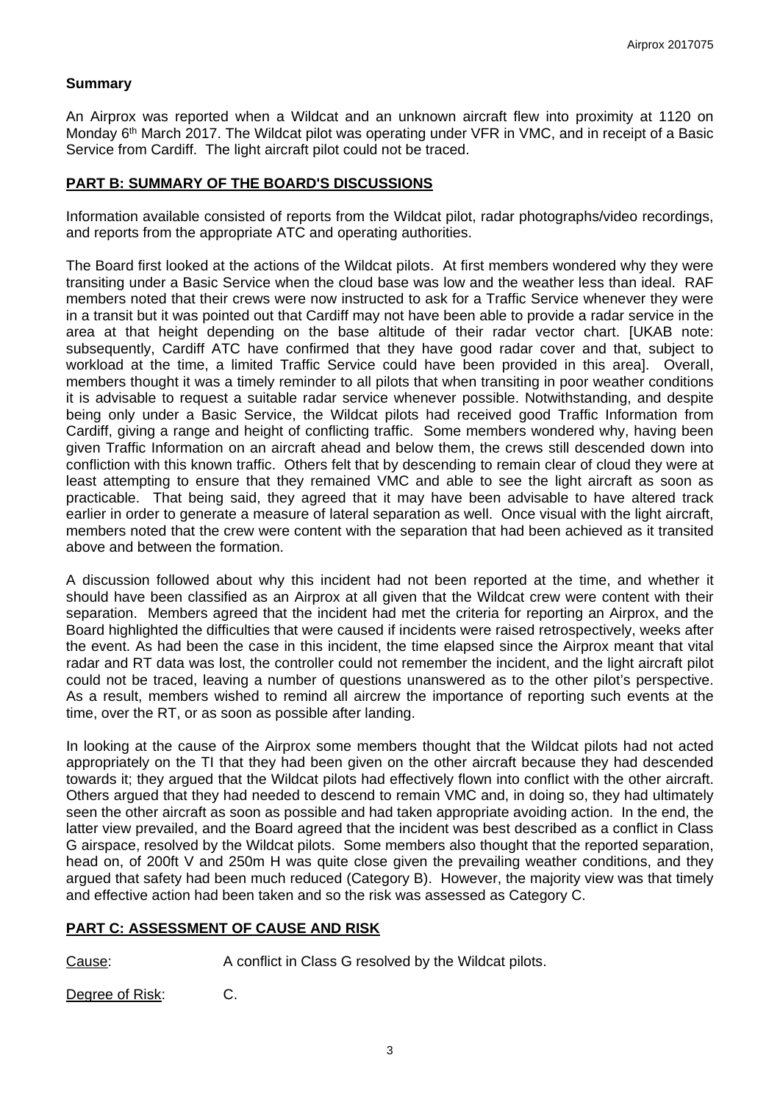## **Summary**

An Airprox was reported when a Wildcat and an unknown aircraft flew into proximity at 1120 on Monday 6<sup>th</sup> March 2017. The Wildcat pilot was operating under VFR in VMC, and in receipt of a Basic Service from Cardiff. The light aircraft pilot could not be traced.

### **PART B: SUMMARY OF THE BOARD'S DISCUSSIONS**

Information available consisted of reports from the Wildcat pilot, radar photographs/video recordings, and reports from the appropriate ATC and operating authorities.

The Board first looked at the actions of the Wildcat pilots. At first members wondered why they were transiting under a Basic Service when the cloud base was low and the weather less than ideal. RAF members noted that their crews were now instructed to ask for a Traffic Service whenever they were in a transit but it was pointed out that Cardiff may not have been able to provide a radar service in the area at that height depending on the base altitude of their radar vector chart. [UKAB note: subsequently, Cardiff ATC have confirmed that they have good radar cover and that, subject to workload at the time, a limited Traffic Service could have been provided in this area]. Overall, members thought it was a timely reminder to all pilots that when transiting in poor weather conditions it is advisable to request a suitable radar service whenever possible. Notwithstanding, and despite being only under a Basic Service, the Wildcat pilots had received good Traffic Information from Cardiff, giving a range and height of conflicting traffic. Some members wondered why, having been given Traffic Information on an aircraft ahead and below them, the crews still descended down into confliction with this known traffic. Others felt that by descending to remain clear of cloud they were at least attempting to ensure that they remained VMC and able to see the light aircraft as soon as practicable. That being said, they agreed that it may have been advisable to have altered track earlier in order to generate a measure of lateral separation as well. Once visual with the light aircraft, members noted that the crew were content with the separation that had been achieved as it transited above and between the formation.

A discussion followed about why this incident had not been reported at the time, and whether it should have been classified as an Airprox at all given that the Wildcat crew were content with their separation. Members agreed that the incident had met the criteria for reporting an Airprox, and the Board highlighted the difficulties that were caused if incidents were raised retrospectively, weeks after the event. As had been the case in this incident, the time elapsed since the Airprox meant that vital radar and RT data was lost, the controller could not remember the incident, and the light aircraft pilot could not be traced, leaving a number of questions unanswered as to the other pilot's perspective. As a result, members wished to remind all aircrew the importance of reporting such events at the time, over the RT, or as soon as possible after landing.

In looking at the cause of the Airprox some members thought that the Wildcat pilots had not acted appropriately on the TI that they had been given on the other aircraft because they had descended towards it; they argued that the Wildcat pilots had effectively flown into conflict with the other aircraft. Others argued that they had needed to descend to remain VMC and, in doing so, they had ultimately seen the other aircraft as soon as possible and had taken appropriate avoiding action. In the end, the latter view prevailed, and the Board agreed that the incident was best described as a conflict in Class G airspace, resolved by the Wildcat pilots. Some members also thought that the reported separation, head on, of 200ft V and 250m H was quite close given the prevailing weather conditions, and they argued that safety had been much reduced (Category B). However, the majority view was that timely and effective action had been taken and so the risk was assessed as Category C.

### **PART C: ASSESSMENT OF CAUSE AND RISK**

Cause: A conflict in Class G resolved by the Wildcat pilots.

Degree of Risk: C.